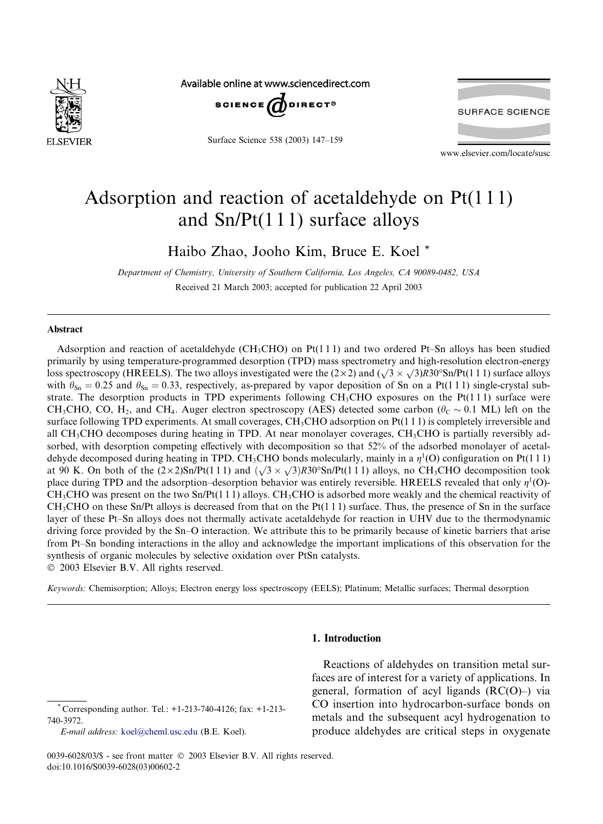

Available online at www.sciencedirect.com



Surface Science 538 (2003) 147–159



www.elsevier.com/locate/susc

# Adsorption and reaction of acetaldehyde on Pt(1 1 1) and  $Sn/Pt(111)$  surface alloys

Haibo Zhao, Jooho Kim, Bruce E. Koel \*

Department of Chemistry, University of Southern California, Los Angeles, CA 90089-0482, USA Received 21 March 2003; accepted for publication 22 April 2003

## Abstract

740-3972.

Adsorption and reaction of acetaldehyde (CH<sub>3</sub>CHO) on Pt(1 1 1) and two ordered Pt–Sn alloys has been studied primarily by using temperature-programmed desorption (TPD) mass spectrometry and high-resolution electron-energy  $\mu$ maarhy by using temperature-programmed desorption (11 D) mass spectrometry and ingn-resording electron-energy loss spectroscopy (HREELS). The two alloys investigated were the (2 × 2) and ( $\sqrt{3} \times \sqrt{3}$ )R30°Sn/Pt(1 1 with  $\theta_{\text{Sn}} = 0.25$  and  $\theta_{\text{Sn}} = 0.33$ , respectively, as-prepared by vapor deposition of Sn on a Pt(1 1 1) single-crystal substrate. The desorption products in TPD experiments following  $CH<sub>3</sub>CH<sub>0</sub>$  exposures on the Pt(111) surface were CH<sub>3</sub>CHO, CO, H<sub>2</sub>, and CH<sub>4</sub>. Auger electron spectroscopy (AES) detected some carbon ( $\theta_C \sim 0.1$  ML) left on the surface following TPD experiments. At small coverages, CH<sub>3</sub>CHO adsorption on Pt(111) is completely irreversible and all CH3CHO decomposes during heating in TPD. At near monolayer coverages, CH3CHO is partially reversibly adsorbed, with desorption competing effectively with decomposition so that 52% of the adsorbed monolayer of acetaldehyde decomposed during heating in TPD. CH<sub>3</sub>CHO bonds molecularly, mainly in a  $\eta^1$ (O) configuration on Pt(1 1 1) at 90 K. On both of the  $(2 \times 2)$ Sn/Pt(1 1 1) and  $(\sqrt{3} \times \sqrt{3})$ R30°Sn/Pt(1 1 1) alloys, no CH<sub>3</sub>CHO decomposition took place during TPD and the adsorption–desorption behavior was entirely reversible. HREELS revealed that only  $\eta^1(O)$ - $CH<sub>3</sub>CHO$  was present on the two Sn/Pt(1 1 1) alloys. CH<sub>3</sub>CHO is adsorbed more weakly and the chemical reactivity of  $CH<sub>3</sub>CHO$  on these Sn/Pt alloys is decreased from that on the Pt(1 1 1) surface. Thus, the presence of Sn in the surface layer of these Pt–Sn alloys does not thermally activate acetaldehyde for reaction in UHV due to the thermodynamic driving force provided by the Sn–O interaction. We attribute this to be primarily because of kinetic barriers that arise from Pt–Sn bonding interactions in the alloy and acknowledge the important implications of this observation for the synthesis of organic molecules by selective oxidation over PtSn catalysts. 2003 Elsevier B.V. All rights reserved.

Keywords: Chemisorption; Alloys; Electron energy loss spectroscopy (EELS); Platinum; Metallic surfaces; Thermal desorption

# 1. Introduction

Corresponding author. Tel.: +1-213-740-4126; fax: +1-213-

Reactions of aldehydes on transition metal surfaces are of interest for a variety of applications. In general, formation of acyl ligands (RC(O)–) via CO insertion into hydrocarbon-surface bonds on metals and the subsequent acyl hydrogenation to produce aldehydes are critical steps in oxygenate

E-mail address: [koel@cheml.usc.edu](mail to: koel@cheml.usc.edu) (B.E. Koel).

<sup>0039-6028/03/\$ -</sup> see front matter  $©$  2003 Elsevier B.V. All rights reserved. doi:10.1016/S0039-6028(03)00602-2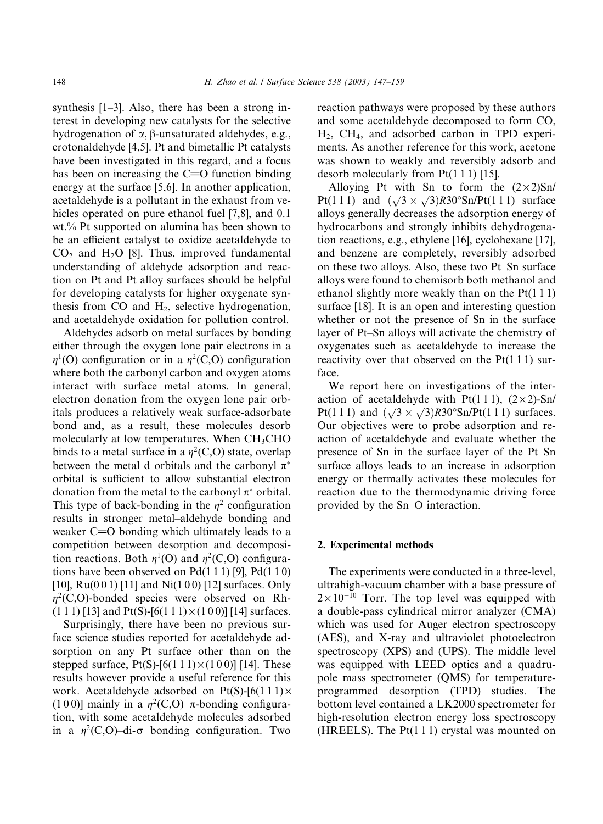synthesis [1–3]. Also, there has been a strong interest in developing new catalysts for the selective hydrogenation of  $\alpha$ ,  $\beta$ -unsaturated aldehydes, e.g., crotonaldehyde [4,5]. Pt and bimetallic Pt catalysts have been investigated in this regard, and a focus has been on increasing the  $C=O$  function binding energy at the surface [5,6]. In another application, acetaldehyde is a pollutant in the exhaust from vehicles operated on pure ethanol fuel [7,8], and 0.1 wt.% Pt supported on alumina has been shown to be an efficient catalyst to oxidize acetaldehyde to  $CO<sub>2</sub>$  and H<sub>2</sub>O [8]. Thus, improved fundamental understanding of aldehyde adsorption and reaction on Pt and Pt alloy surfaces should be helpful for developing catalysts for higher oxygenate synthesis from  $CO$  and  $H<sub>2</sub>$ , selective hydrogenation, and acetaldehyde oxidation for pollution control.

Aldehydes adsorb on metal surfaces by bonding either through the oxygen lone pair electrons in a  $\eta^1$ (O) configuration or in a  $\eta^2$ (C,O) configuration where both the carbonyl carbon and oxygen atoms interact with surface metal atoms. In general, electron donation from the oxygen lone pair orbitals produces a relatively weak surface-adsorbate bond and, as a result, these molecules desorb molecularly at low temperatures. When  $CH<sub>3</sub>CHO$ binds to a metal surface in a  $\eta^2(C, O)$  state, overlap between the metal d orbitals and the carbonyl  $\pi^*$ orbital is sufficient to allow substantial electron donation from the metal to the carbonyl  $\pi^*$  orbital. This type of back-bonding in the  $\eta^2$  configuration results in stronger metal–aldehyde bonding and weaker  $C=O$  bonding which ultimately leads to a competition between desorption and decomposition reactions. Both  $\eta^1$ (O) and  $\eta^2$ (C,O) configurations have been observed on  $Pd(1 1 1)$  [9],  $Pd(1 1 0)$ [10],  $Ru(001)$  [11] and Ni(100) [12] surfaces. Only  $\eta^2(C, O)$ -bonded species were observed on Rh- $(1\ 1\ 1)$  [13] and Pt(S)-[6(1 1 1)  $\times$  (1 0 0)] [14] surfaces.

Surprisingly, there have been no previous surface science studies reported for acetaldehyde adsorption on any Pt surface other than on the stepped surface,  $Pt(S)$ -[6(1 1 1)  $\times$ (1 0 0)] [14]. These results however provide a useful reference for this work. Acetaldehyde adsorbed on  $Pt(S)$ -[6(111) $\times$ (100)] mainly in a  $\eta^2(C, O)$ – $\pi$ -bonding configuration, with some acetaldehyde molecules adsorbed in a  $\eta^2(C, O)$ –di- $\sigma$  bonding configuration. Two reaction pathways were proposed by these authors and some acetaldehyde decomposed to form CO, H2, CH4, and adsorbed carbon in TPD experiments. As another reference for this work, acetone was shown to weakly and reversibly adsorb and desorb molecularly from  $Pt(1\ 1\ 1)$  [15].

Alloying Pt with Sn to form the  $(2 \times 2)$ Sn/ Alloying 1 t with 5ft to form the  $(2 \times 2)$ sin/<br>Pt(1 1 1) and  $(\sqrt{3} \times \sqrt{3})$ R30°Sn/Pt(1 1 1) surface alloys generally decreases the adsorption energy of hydrocarbons and strongly inhibits dehydrogenation reactions, e.g., ethylene [16], cyclohexane [17], and benzene are completely, reversibly adsorbed on these two alloys. Also, these two Pt–Sn surface alloys were found to chemisorb both methanol and ethanol slightly more weakly than on the Pt(1 1 1) surface [18]. It is an open and interesting question whether or not the presence of Sn in the surface layer of Pt–Sn alloys will activate the chemistry of oxygenates such as acetaldehyde to increase the reactivity over that observed on the  $Pt(1\ 1\ 1)$  surface.

We report here on investigations of the interaction of acetaldehyde with Pt(111),  $(2 \times 2)$ -Sn/ Pt(1 1 1) and  $(\sqrt{3} \times \sqrt{3})$ R30°Sn/Pt(1 1 1) surfaces. Our objectives were to probe adsorption and reaction of acetaldehyde and evaluate whether the presence of Sn in the surface layer of the Pt–Sn surface alloys leads to an increase in adsorption energy or thermally activates these molecules for reaction due to the thermodynamic driving force provided by the Sn–O interaction.

## 2. Experimental methods

The experiments were conducted in a three-level, ultrahigh-vacuum chamber with a base pressure of  $2 \times 10^{-10}$  Torr. The top level was equipped with a double-pass cylindrical mirror analyzer (CMA) which was used for Auger electron spectroscopy (AES), and X-ray and ultraviolet photoelectron spectroscopy (XPS) and (UPS). The middle level was equipped with LEED optics and a quadrupole mass spectrometer (QMS) for temperatureprogrammed desorption (TPD) studies. The bottom level contained a LK2000 spectrometer for high-resolution electron energy loss spectroscopy (HREELS). The  $Pt(111)$  crystal was mounted on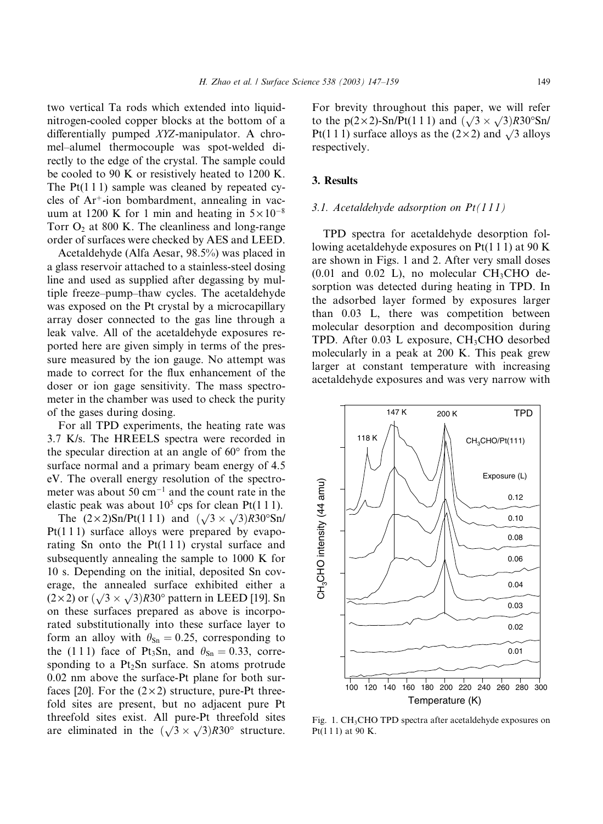two vertical Ta rods which extended into liquidnitrogen-cooled copper blocks at the bottom of a differentially pumped XYZ-manipulator. A chromel–alumel thermocouple was spot-welded directly to the edge of the crystal. The sample could be cooled to 90 K or resistively heated to 1200 K. The  $Pt(1\ 1\ 1)$  sample was cleaned by repeated cycles of  $Ar^+$ -ion bombardment, annealing in vacuum at 1200 K for 1 min and heating in  $5 \times 10^{-8}$ Torr  $O_2$  at 800 K. The cleanliness and long-range order of surfaces were checked by AES and LEED.

Acetaldehyde (Alfa Aesar, 98.5%) was placed in a glass reservoir attached to a stainless-steel dosing line and used as supplied after degassing by multiple freeze–pump–thaw cycles. The acetaldehyde was exposed on the Pt crystal by a microcapillary array doser connected to the gas line through a leak valve. All of the acetaldehyde exposures reported here are given simply in terms of the pressure measured by the ion gauge. No attempt was made to correct for the flux enhancement of the doser or ion gage sensitivity. The mass spectrometer in the chamber was used to check the purity of the gases during dosing.

For all TPD experiments, the heating rate was 3.7 K/s. The HREELS spectra were recorded in the specular direction at an angle of  $60^{\circ}$  from the surface normal and a primary beam energy of 4.5 eV. The overall energy resolution of the spectrometer was about 50  $cm^{-1}$  and the count rate in the elastic peak was about  $10<sup>5</sup>$  cps for clean Pt(111).

The  $(2 \times 2)$ Sn/Pt(1 1 1) and  $(\sqrt{3} \times \sqrt{3})$ R30°Sn/  $Pt(111)$  surface alloys were prepared by evaporating Sn onto the  $Pt(111)$  crystal surface and subsequently annealing the sample to 1000 K for 10 s. Depending on the initial, deposited Sn coverage, the annealed surface exhibited either a erage, the anneared surface exhibited entier a<br>(2×2) or  $(\sqrt{3} \times \sqrt{3})$ R30° pattern in LEED [19]. Sn on these surfaces prepared as above is incorporated substitutionally into these surface layer to form an alloy with  $\theta_{\text{Sn}} = 0.25$ , corresponding to the (1 1 1) face of Pt<sub>3</sub>Sn, and  $\theta_{\text{Sn}} = 0.33$ , corresponding to a  $Pt<sub>2</sub>Sn$  surface. Sn atoms protrude 0.02 nm above the surface-Pt plane for both surfaces [20]. For the  $(2 \times 2)$  structure, pure-Pt threefold sites are present, but no adjacent pure Pt threefold sites exist. All pure-Pt threefold sites are eliminated in the  $(\sqrt{3} \times \sqrt{3})$ R30° structure. For brevity throughout this paper, we will refer to the  $p(2 \times 2)$ -Sn/Pt(1 1 1) and  $(\sqrt{3} \times \sqrt{3})$ R30°Sn/ Pt(1 1 1) surface alloys as the  $(2 \times 2)$  and  $\sqrt{3}$  alloys respectively.

## 3. Results

## 3.1. Acetaldehyde adsorption on  $Pt(111)$

TPD spectra for acetaldehyde desorption following acetaldehyde exposures on Pt(1 1 1) at 90 K are shown in Figs. 1 and 2. After very small doses  $(0.01$  and  $0.02$  L), no molecular CH<sub>3</sub>CHO desorption was detected during heating in TPD. In the adsorbed layer formed by exposures larger than 0.03 L, there was competition between molecular desorption and decomposition during TPD. After  $0.03$  L exposure, CH<sub>3</sub>CHO desorbed molecularly in a peak at 200 K. This peak grew larger at constant temperature with increasing acetaldehyde exposures and was very narrow with



Fig. 1. CH<sub>3</sub>CHO TPD spectra after acetaldehyde exposures on Pt(1 1 1) at 90 K.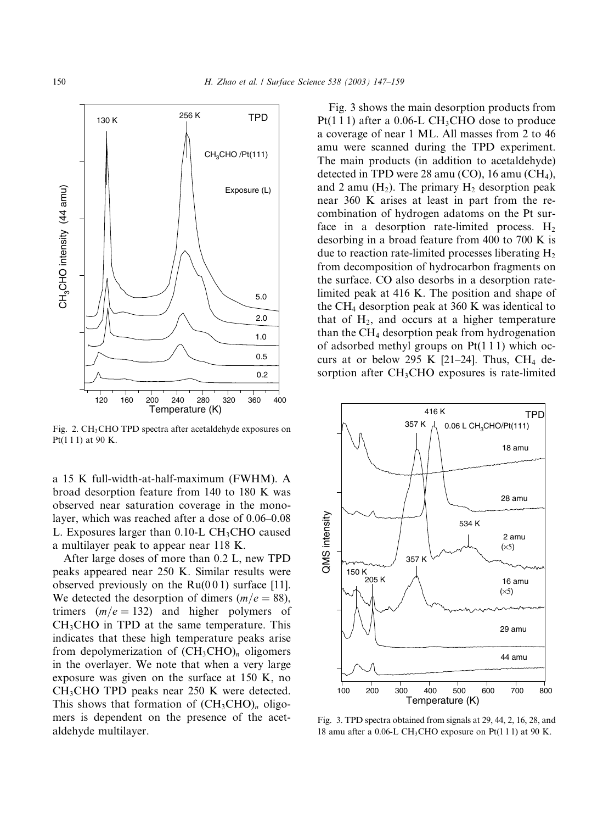

Fig. 2. CH<sub>3</sub>CHO TPD spectra after acetaldehyde exposures on Pt(1 1 1) at 90 K.

a 15 K full-width-at-half-maximum (FWHM). A broad desorption feature from 140 to 180 K was observed near saturation coverage in the monolayer, which was reached after a dose of 0.06–0.08 L. Exposures larger than  $0.10$ -L CH<sub>3</sub>CHO caused a multilayer peak to appear near 118 K.

After large doses of more than 0.2 L, new TPD peaks appeared near 250 K. Similar results were observed previously on the  $Ru(001)$  surface [11]. We detected the desorption of dimers  $(m/e = 88)$ , trimers  $(m/e = 132)$  and higher polymers of  $CH<sub>3</sub>CHO$  in TPD at the same temperature. This indicates that these high temperature peaks arise from depolymerization of  $(CH_3CHO)_n$  oligomers in the overlayer. We note that when a very large exposure was given on the surface at 150 K, no CH3CHO TPD peaks near 250 K were detected. This shows that formation of  $(CH_3CHO)_n$  oligomers is dependent on the presence of the acetaldehyde multilayer.

Fig. 3 shows the main desorption products from Pt(1 1 1) after a 0.06-L CH<sub>3</sub>CHO dose to produce a coverage of near 1 ML. All masses from 2 to 46 amu were scanned during the TPD experiment. The main products (in addition to acetaldehyde) detected in TPD were 28 amu (CO), 16 amu (CH<sub>4</sub>), and 2 amu  $(H_2)$ . The primary  $H_2$  desorption peak near 360 K arises at least in part from the recombination of hydrogen adatoms on the Pt surface in a desorption rate-limited process.  $H_2$ desorbing in a broad feature from 400 to 700 K is due to reaction rate-limited processes liberating  $H_2$ from decomposition of hydrocarbon fragments on the surface. CO also desorbs in a desorption ratelimited peak at 416 K. The position and shape of the  $CH<sub>4</sub>$  desorption peak at 360 K was identical to that of  $H_2$ , and occurs at a higher temperature than the  $CH<sub>4</sub>$  desorption peak from hydrogenation of adsorbed methyl groups on Pt(1 1 1) which occurs at or below 295 K [21–24]. Thus, CH<sub>4</sub> desorption after CH<sub>3</sub>CHO exposures is rate-limited



Fig. 3. TPD spectra obtained from signals at 29, 44, 2, 16, 28, and 18 amu after a 0.06-L CH<sub>3</sub>CHO exposure on Pt(111) at 90 K.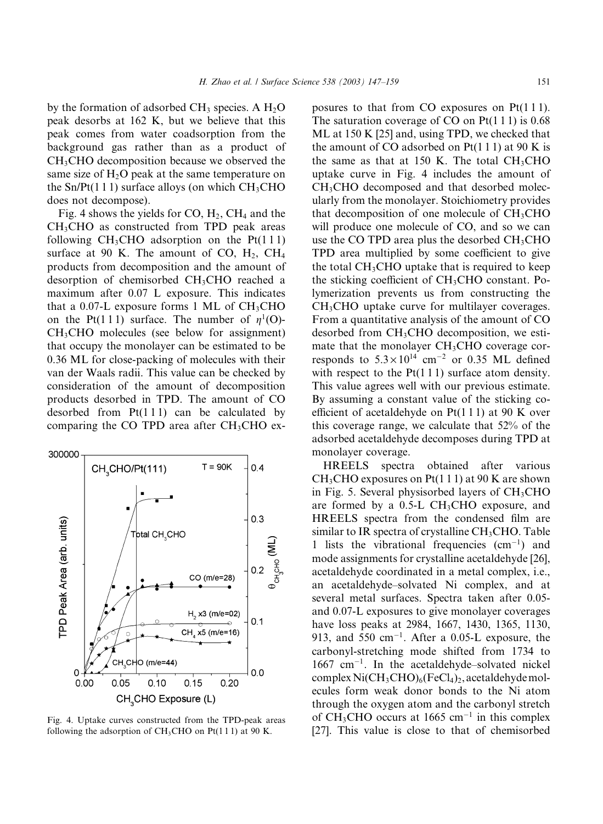by the formation of adsorbed  $CH_3$  species. A  $H_2O$ peak desorbs at 162 K, but we believe that this peak comes from water coadsorption from the background gas rather than as a product of CH3CHO decomposition because we observed the same size of  $H_2O$  peak at the same temperature on the  $Sn/Pt(1 1 1)$  surface alloys (on which  $CH<sub>3</sub>CHO$ does not decompose).

Fig. 4 shows the yields for CO,  $H_2$ , CH<sub>4</sub> and the CH3CHO as constructed from TPD peak areas following  $CH<sub>3</sub>CHO$  adsorption on the  $Pt(111)$ surface at 90 K. The amount of CO,  $H_2$ , CH<sub>4</sub> products from decomposition and the amount of desorption of chemisorbed CH3CHO reached a maximum after 0.07 L exposure. This indicates that a 0.07-L exposure forms 1 ML of  $CH<sub>3</sub>CHO$ on the Pt(111) surface. The number of  $\eta^1$ (O)-CH3CHO molecules (see below for assignment) that occupy the monolayer can be estimated to be 0.36 ML for close-packing of molecules with their van der Waals radii. This value can be checked by consideration of the amount of decomposition products desorbed in TPD. The amount of CO desorbed from  $Pt(111)$  can be calculated by comparing the CO TPD area after  $CH<sub>3</sub>CHO$  ex-



Fig. 4. Uptake curves constructed from the TPD-peak areas following the adsorption of  $CH<sub>3</sub>CHO$  on Pt(111) at 90 K.

posures to that from CO exposures on Pt(111). The saturation coverage of CO on  $Pt(111)$  is 0.68 ML at 150 K [25] and, using TPD, we checked that the amount of CO adsorbed on  $Pt(1\ 1\ 1)$  at 90 K is the same as that at 150 K. The total  $CH<sub>3</sub>CHO$ uptake curve in Fig. 4 includes the amount of CH3CHO decomposed and that desorbed molecularly from the monolayer. Stoichiometry provides that decomposition of one molecule of  $CH<sub>3</sub>CHO$ will produce one molecule of CO, and so we can use the CO TPD area plus the desorbed  $CH<sub>3</sub>CHO$ TPD area multiplied by some coefficient to give the total  $CH<sub>3</sub>CHO$  uptake that is required to keep the sticking coefficient of  $CH<sub>3</sub>CHO$  constant. Polymerization prevents us from constructing the CH<sub>3</sub>CHO uptake curve for multilayer coverages. From a quantitative analysis of the amount of CO desorbed from CH3CHO decomposition, we estimate that the monolayer CH<sub>3</sub>CHO coverage corresponds to  $5.3 \times 10^{14}$  cm<sup>-2</sup> or 0.35 ML defined with respect to the  $Pt(1\ 1\ 1)$  surface atom density. This value agrees well with our previous estimate. By assuming a constant value of the sticking coefficient of acetaldehyde on  $Pt(111)$  at 90 K over this coverage range, we calculate that 52% of the adsorbed acetaldehyde decomposes during TPD at monolayer coverage.

HREELS spectra obtained after various  $CH<sub>3</sub>CHO$  exposures on Pt(1 1 1) at 90 K are shown in Fig. 5. Several physisorbed layers of  $CH<sub>3</sub>CHO$ are formed by a  $0.5$ -L CH<sub>3</sub>CHO exposure, and HREELS spectra from the condensed film are similar to IR spectra of crystalline  $CH<sub>3</sub>CHO$ . Table 1 lists the vibrational frequencies  $(cm<sup>-1</sup>)$  and mode assignments for crystalline acetaldehyde [26], acetaldehyde coordinated in a metal complex, i.e., an acetaldehyde–solvated Ni complex, and at several metal surfaces. Spectra taken after 0.05 and 0.07-L exposures to give monolayer coverages have loss peaks at 2984, 1667, 1430, 1365, 1130, 913, and 550  $cm^{-1}$ . After a 0.05-L exposure, the carbonyl-stretching mode shifted from 1734 to  $1667$  cm<sup>-1</sup>. In the acetaldehyde–solvated nickel complex  $Ni(CH_3CHO)_6(FeCl_4)_2$ , acetaldehydemolecules form weak donor bonds to the Ni atom through the oxygen atom and the carbonyl stretch of CH<sub>3</sub>CHO occurs at 1665 cm<sup>-1</sup> in this complex [27]. This value is close to that of chemisorbed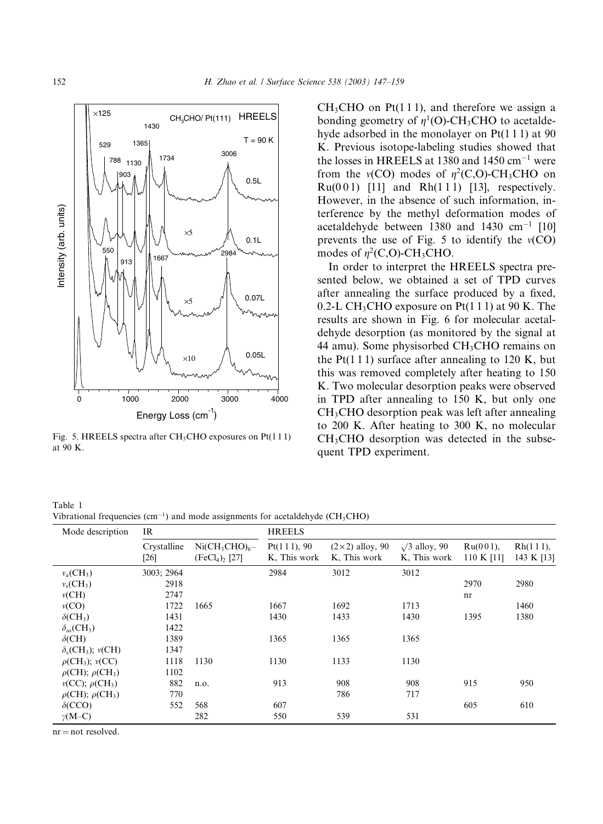

Fig. 5. HREELS spectra after CH<sub>3</sub>CHO exposures on Pt(111) at 90 K.

 $CH<sub>3</sub>CHO$  on Pt(111), and therefore we assign a bonding geometry of  $\eta^1$ (O)-CH<sub>3</sub>CHO to acetaldehyde adsorbed in the monolayer on Pt(1 1 1) at 90 K. Previous isotope-labeling studies showed that the losses in HREELS at 1380 and 1450  $\text{cm}^{-1}$  were from the  $v(CO)$  modes of  $\eta^2(C,O)$ -CH<sub>3</sub>CHO on  $Ru(0 0 1)$  [11] and  $Rh(1 1 1)$  [13], respectively. However, in the absence of such information, interference by the methyl deformation modes of acetaldehyde between 1380 and 1430  $cm^{-1}$  [10] prevents the use of Fig. 5 to identify the  $v(CO)$ modes of  $\eta^2$ (C,O)-CH<sub>3</sub>CHO.

In order to interpret the HREELS spectra presented below, we obtained a set of TPD curves after annealing the surface produced by a fixed, 0.2-L CH<sub>3</sub>CHO exposure on Pt(1 1 1) at 90 K. The results are shown in Fig. 6 for molecular acetaldehyde desorption (as monitored by the signal at 44 amu). Some physisorbed CH3CHO remains on the Pt(1 1 1) surface after annealing to 120 K, but this was removed completely after heating to 150 K. Two molecular desorption peaks were observed in TPD after annealing to 150 K, but only one CH3CHO desorption peak was left after annealing to 200 K. After heating to 300 K, no molecular  $CH<sub>3</sub>CHO$  desorption was detected in the subsequent TPD experiment.

Table 1 Vibrational frequencies  $\text{cm}^{-1}$  and mode assignments for acetaldehyde (CH<sub>3</sub>CHO)

| Mode description                       | IR                  |                                        | <b>HREELS</b>               |                                        |                                      |                           |                        |  |
|----------------------------------------|---------------------|----------------------------------------|-----------------------------|----------------------------------------|--------------------------------------|---------------------------|------------------------|--|
|                                        | Crystalline<br>[26] | $Ni(CH_3CHO)_{6}$ -<br>$(FeCl4)2$ [27] | Pt(111), 90<br>K, This work | $(2\times2)$ alloy, 90<br>K, This work | $\sqrt{3}$ alloy, 90<br>K, This work | $Ru(001)$ ,<br>110 K [11] | Rh(111),<br>143 K [13] |  |
| $v_a$ (CH <sub>3</sub> )               | 3003; 2964          |                                        | 2984                        | 3012                                   | 3012                                 |                           |                        |  |
| $v_s$ (CH <sub>3</sub> )               | 2918                |                                        |                             |                                        |                                      | 2970                      | 2980                   |  |
| v(CH)                                  | 2747                |                                        |                             |                                        |                                      | nr                        |                        |  |
| v(CO)                                  | 1722                | 1665                                   | 1667                        | 1692                                   | 1713                                 |                           | 1460                   |  |
| $\delta$ (CH <sub>3</sub> )            | 1431                |                                        | 1430                        | 1433                                   | 1430                                 | 1395                      | 1380                   |  |
| $\delta_{\rm as}$ (CH <sub>3</sub> )   | 1422                |                                        |                             |                                        |                                      |                           |                        |  |
| $\delta$ (CH)                          | 1389                |                                        | 1365                        | 1365                                   | 1365                                 |                           |                        |  |
| $\delta_{s}(CH_{3});$ $v(CH)$          | 1347                |                                        |                             |                                        |                                      |                           |                        |  |
| $\rho$ (CH <sub>3</sub> ); $\nu$ (CC)  | 1118                | 1130                                   | 1130                        | 1133                                   | 1130                                 |                           |                        |  |
| $\rho$ (CH); $\rho$ (CH <sub>3</sub> ) | 1102                |                                        |                             |                                        |                                      |                           |                        |  |
| $v(CC); \rho(CH_3)$                    | 882                 | n.o.                                   | 913                         | 908                                    | 908                                  | 915                       | 950                    |  |
| $\rho$ (CH); $\rho$ (CH <sub>3</sub> ) | 770                 |                                        |                             | 786                                    | 717                                  |                           |                        |  |
| $\delta$ (CCO)                         | 552                 | 568                                    | 607                         |                                        |                                      | 605                       | 610                    |  |
| $\gamma(M-C)$                          |                     | 282                                    | 550                         | 539                                    | 531                                  |                           |                        |  |

 $nr = not resolved$ .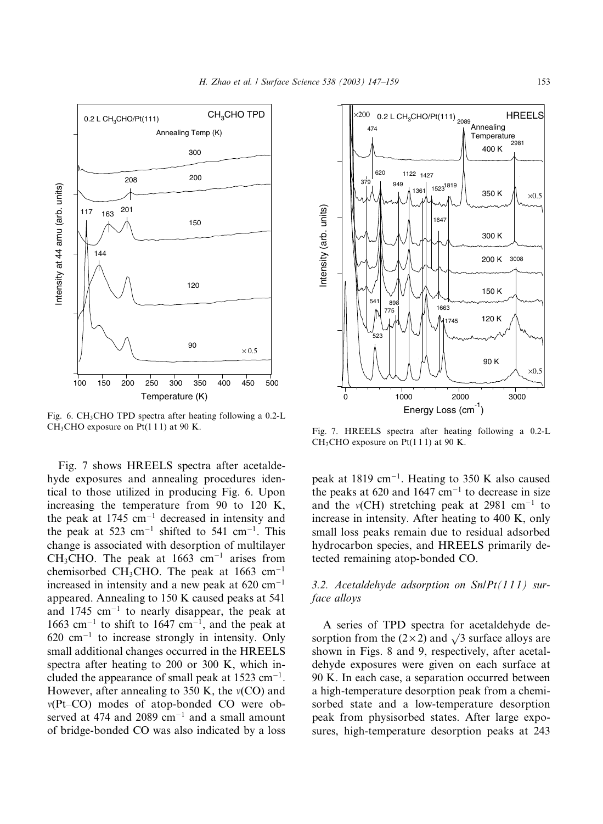

Fig. 6. CH<sub>3</sub>CHO TPD spectra after heating following a 0.2-L CH<sub>3</sub>CHO exposure on Pt(111) at 90 K.

Fig. 7 shows HREELS spectra after acetaldehyde exposures and annealing procedures identical to those utilized in producing Fig. 6. Upon increasing the temperature from 90 to 120 K, the peak at  $1745 \text{ cm}^{-1}$  decreased in intensity and the peak at 523 cm<sup>-1</sup> shifted to 541 cm<sup>-1</sup>. This change is associated with desorption of multilayer  $CH<sub>3</sub>CHO$ . The peak at 1663 cm<sup>-1</sup> arises from chemisorbed CH<sub>3</sub>CHO. The peak at 1663 cm<sup>-1</sup> increased in intensity and a new peak at  $620 \text{ cm}^{-1}$ appeared. Annealing to 150 K caused peaks at 541 and 1745  $cm^{-1}$  to nearly disappear, the peak at 1663 cm<sup>-1</sup> to shift to 1647 cm<sup>-1</sup>, and the peak at  $620 \text{ cm}^{-1}$  to increase strongly in intensity. Only small additional changes occurred in the HREELS spectra after heating to 200 or 300 K, which included the appearance of small peak at  $1523 \text{ cm}^{-1}$ . However, after annealing to 350 K, the  $v(CO)$  and  $v(Pt-CO)$  modes of atop-bonded CO were observed at 474 and 2089  $cm^{-1}$  and a small amount of bridge-bonded CO was also indicated by a loss



Fig. 7. HREELS spectra after heating following a 0.2-L CH<sub>3</sub>CHO exposure on Pt(111) at 90 K.

peak at 1819 cm<sup>-1</sup>. Heating to 350 K also caused the peaks at 620 and 1647  $cm^{-1}$  to decrease in size and the  $v(CH)$  stretching peak at 2981 cm<sup>-1</sup> to increase in intensity. After heating to 400 K, only small loss peaks remain due to residual adsorbed hydrocarbon species, and HREELS primarily detected remaining atop-bonded CO.

# 3.2. Acetaldehyde adsorption on  $\text{Sn}(\text{Pl11})$  surface alloys

A series of TPD spectra for acetaldehyde desorption from the  $(2 \times 2)$  and  $\sqrt{3}$  surface alloys are shown in Figs. 8 and 9, respectively, after acetaldehyde exposures were given on each surface at 90 K. In each case, a separation occurred between a high-temperature desorption peak from a chemisorbed state and a low-temperature desorption peak from physisorbed states. After large exposures, high-temperature desorption peaks at 243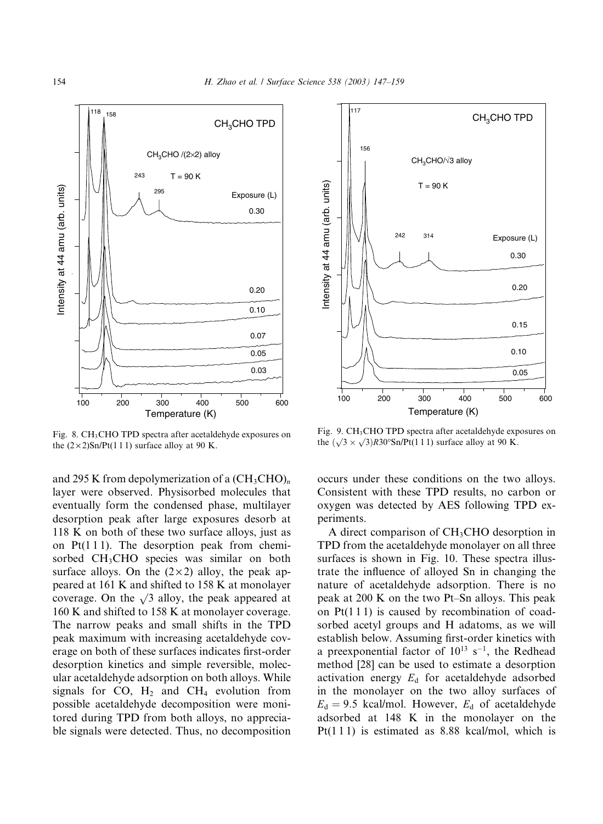

Fig. 8. CH<sub>3</sub>CHO TPD spectra after acetaldehyde exposures on the  $(2 \times 2)$ Sn/Pt(1 1 1) surface alloy at 90 K.

and 295 K from depolymerization of a  $(CH_3CHO)_n$ layer were observed. Physisorbed molecules that eventually form the condensed phase, multilayer desorption peak after large exposures desorb at 118 K on both of these two surface alloys, just as on  $Pt(111)$ . The desorption peak from chemisorbed CH<sub>3</sub>CHO species was similar on both surface alloys. On the  $(2 \times 2)$  alloy, the peak appeared at 161 K and shifted to 158 K at monolayer coverage. On the  $\sqrt{3}$  alloy, the peak appeared at 160 K and shifted to 158 K at monolayer coverage. The narrow peaks and small shifts in the TPD peak maximum with increasing acetaldehyde coverage on both of these surfaces indicates first-order desorption kinetics and simple reversible, molecular acetaldehyde adsorption on both alloys. While signals for CO,  $H_2$  and CH<sub>4</sub> evolution from possible acetaldehyde decomposition were monitored during TPD from both alloys, no appreciable signals were detected. Thus, no decomposition



Fig. 9. CH<sub>3</sub>CHO TPD spectra after acetaldehyde exposures on the  $(\sqrt{3} \times \sqrt{3})$ R30°Sn/Pt(111) surface alloy at 90 K.

occurs under these conditions on the two alloys. Consistent with these TPD results, no carbon or oxygen was detected by AES following TPD experiments.

A direct comparison of CH<sub>3</sub>CHO desorption in TPD from the acetaldehyde monolayer on all three surfaces is shown in Fig. 10. These spectra illustrate the influence of alloyed Sn in changing the nature of acetaldehyde adsorption. There is no peak at 200 K on the two Pt–Sn alloys. This peak on Pt(1 1 1) is caused by recombination of coadsorbed acetyl groups and H adatoms, as we will establish below. Assuming first-order kinetics with a preexponential factor of  $10^{13}$  s<sup>-1</sup>, the Redhead method [28] can be used to estimate a desorption activation energy  $E_d$  for acetaldehyde adsorbed in the monolayer on the two alloy surfaces of  $E_d = 9.5$  kcal/mol. However,  $E_d$  of acetaldehyde adsorbed at 148 K in the monolayer on the Pt(1 1 1) is estimated as 8.88 kcal/mol, which is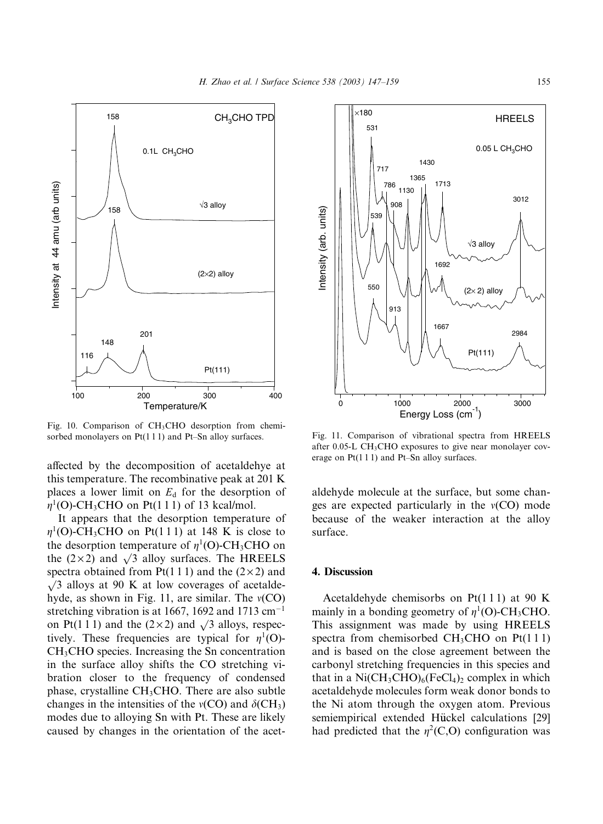

Fig. 10. Comparison of  $CH<sub>3</sub>CHO$  desorption from chemisorbed monolayers on Pt(111) and Pt–Sn alloy surfaces.

affected by the decomposition of acetaldehye at this temperature. The recombinative peak at 201 K places a lower limit on  $E<sub>d</sub>$  for the desorption of  $\eta^1$ (O)-CH<sub>3</sub>CHO on Pt(1 1 1) of 13 kcal/mol.

It appears that the desorption temperature of  $\eta^1$ (O)-CH<sub>3</sub>CHO on Pt(111) at 148 K is close to the desorption temperature of  $\eta^1$ (O)-CH<sub>3</sub>CHO on the (2×2) and  $\sqrt{3}$  alloy surfaces. The HREELS spectra obtained from Pt(1 1 1) and the  $(2 \times 2)$  and  $\sqrt{3}$  alloys at 90 K at low coverages of acetaldehyde, as shown in Fig. 11, are similar. The  $v(CO)$ stretching vibration is at 1667, 1692 and 1713  $cm^{-1}$ on Pt(1 1 1) and the (2  $\times$  2) and  $\sqrt{3}$  alloys, respectively. These frequencies are typical for  $\eta^1(O)$ -CH3CHO species. Increasing the Sn concentration in the surface alloy shifts the CO stretching vibration closer to the frequency of condensed phase, crystalline CH3CHO. There are also subtle changes in the intensities of the  $v(CO)$  and  $\delta$ (CH<sub>3</sub>) modes due to alloying Sn with Pt. These are likely caused by changes in the orientation of the acet-



Fig. 11. Comparison of vibrational spectra from HREELS after 0.05-L CH<sub>3</sub>CHO exposures to give near monolayer coverage on Pt(1 1 1) and Pt–Sn alloy surfaces.

aldehyde molecule at the surface, but some changes are expected particularly in the  $v(CO)$  mode because of the weaker interaction at the alloy surface.

## 4. Discussion

Acetaldehyde chemisorbs on Pt(1 1 1) at 90 K mainly in a bonding geometry of  $n^1(O)$ -CH<sub>3</sub>CHO. This assignment was made by using HREELS spectra from chemisorbed  $CH<sub>3</sub>CHO$  on Pt(111) and is based on the close agreement between the carbonyl stretching frequencies in this species and that in a  $Ni(CH_3CHO)_6(FeCl_4)_2$  complex in which acetaldehyde molecules form weak donor bonds to the Ni atom through the oxygen atom. Previous semiempirical extended Hückel calculations [29] had predicted that the  $\eta^2(C, O)$  configuration was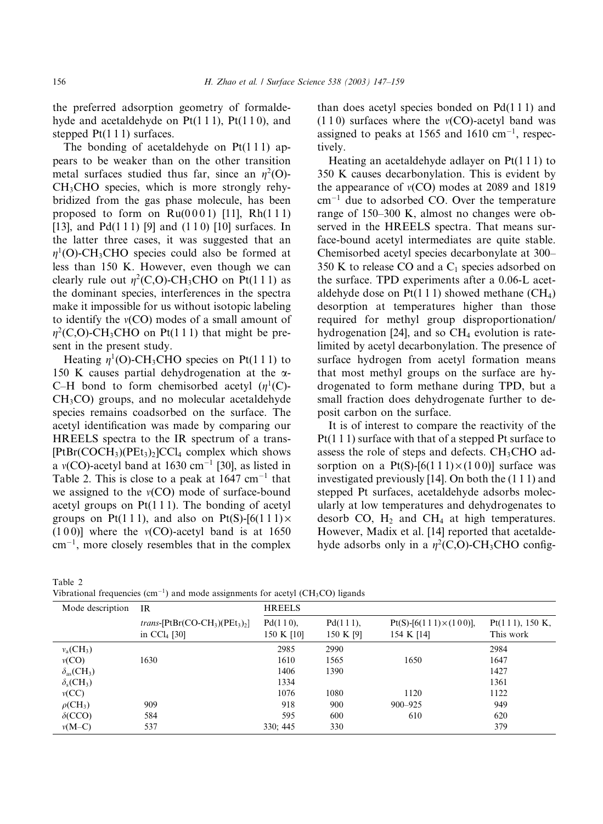the preferred adsorption geometry of formaldehyde and acetaldehyde on  $Pt(1\ 1\ 1)$ ,  $Pt(1\ 1\ 0)$ , and stepped  $Pt(1\ 1\ 1)$  surfaces.

The bonding of acetaldehyde on  $Pt(1\ 1\ 1)$  appears to be weaker than on the other transition metal surfaces studied thus far, since an  $\eta^2(O)$ -CH3CHO species, which is more strongly rehybridized from the gas phase molecule, has been proposed to form on  $Ru(0001)$  [11],  $Rh(111)$ [13], and Pd(111) [9] and (110) [10] surfaces. In the latter three cases, it was suggested that an  $\eta^1$ (O)-CH<sub>3</sub>CHO species could also be formed at less than 150 K. However, even though we can clearly rule out  $\eta^2(C, O)$ -CH<sub>3</sub>CHO on Pt(111) as the dominant species, interferences in the spectra make it impossible for us without isotopic labeling to identify the  $v(CO)$  modes of a small amount of  $\eta^2(C, O)$ -CH<sub>3</sub>CHO on Pt(111) that might be present in the present study.

Heating  $\eta^1$ (O)-CH<sub>3</sub>CHO species on Pt(111) to 150 K causes partial dehydrogenation at the  $\alpha$ -C–H bond to form chemisorbed acetyl  $(n<sup>1</sup>(C))$ -CH3CO) groups, and no molecular acetaldehyde species remains coadsorbed on the surface. The acetyl identification was made by comparing our HREELS spectra to the IR spectrum of a trans-  $[PtBr(COCH<sub>3</sub>)(PEt<sub>3</sub>)<sub>2</sub>]CCl<sub>4</sub> complex which shows$ a  $v(CO)$ -acetyl band at 1630 cm<sup>-1</sup> [30], as listed in Table 2. This is close to a peak at  $1647 \text{ cm}^{-1}$  that we assigned to the  $v(CO)$  mode of surface-bound acetyl groups on  $Pt(1\ 1\ 1)$ . The bonding of acetyl groups on Pt(111), and also on Pt(S)-[6(111) $\times$  $(100)$ ] where the  $v(CO)$ -acetyl band is at 1650  $cm^{-1}$ , more closely resembles that in the complex than does acetyl species bonded on  $Pd(111)$  and  $(1 1 0)$  surfaces where the  $v(CO)$ -acetyl band was assigned to peaks at 1565 and 1610  $cm^{-1}$ , respectively.

Heating an acetaldehyde adlayer on Pt(1 1 1) to 350 K causes decarbonylation. This is evident by the appearance of  $v(CO)$  modes at 2089 and 1819  $cm^{-1}$  due to adsorbed CO. Over the temperature range of 150–300 K, almost no changes were observed in the HREELS spectra. That means surface-bound acetyl intermediates are quite stable. Chemisorbed acetyl species decarbonylate at 300– 350 K to release CO and a  $C_1$  species adsorbed on the surface. TPD experiments after a 0.06-L acetaldehyde dose on  $Pt(1\ 1\ 1)$  showed methane (CH<sub>4</sub>) desorption at temperatures higher than those required for methyl group disproportionation/ hydrogenation [24], and so  $CH<sub>4</sub>$  evolution is ratelimited by acetyl decarbonylation. The presence of surface hydrogen from acetyl formation means that most methyl groups on the surface are hydrogenated to form methane during TPD, but a small fraction does dehydrogenate further to deposit carbon on the surface.

It is of interest to compare the reactivity of the Pt(1 1 1) surface with that of a stepped Pt surface to assess the role of steps and defects.  $CH<sub>3</sub>CHO$  adsorption on a  $Pt(S)$ -[6(111) $\times$ (100)] surface was investigated previously [14]. On both the (1 1 1) and stepped Pt surfaces, acetaldehyde adsorbs molecularly at low temperatures and dehydrogenates to desorb CO,  $H_2$  and CH<sub>4</sub> at high temperatures. However, Madix et al. [14] reported that acetaldehyde adsorbs only in a  $\eta^2(C, O)$ -CH<sub>3</sub>CHO config-

Table 2

Vibrational frequencies  $(cm<sup>-1</sup>)$  and mode assignments for acetyl  $(CH_3CO)$  ligands

| Mode description                     | <b>IR</b>                                                  | <b>HREELS</b>          |                       |                                                |                              |  |  |
|--------------------------------------|------------------------------------------------------------|------------------------|-----------------------|------------------------------------------------|------------------------------|--|--|
|                                      | <i>trans</i> -[ $PtBr(CO-CH3)(PEt3)2$ ]<br>in $CCl_4$ [30] | Pd(110),<br>150 K [10] | Pd(111),<br>150 K [9] | $Pt(S) - [6(111) \times (100)],$<br>154 K [14] | Pt(111), 150 K,<br>This work |  |  |
| $v_a$ (CH <sub>3</sub> )             |                                                            | 2985                   | 2990                  |                                                | 2984                         |  |  |
| v(CO)                                | 1630                                                       | 1610                   | 1565                  | 1650                                           | 1647                         |  |  |
| $\delta_{\rm as}$ (CH <sub>3</sub> ) |                                                            | 1406                   | 1390                  |                                                | 1427                         |  |  |
| $\delta_{\rm s}$ (CH <sub>3</sub> )  |                                                            | 1334                   |                       |                                                | 1361                         |  |  |
| v(CC)                                |                                                            | 1076                   | 1080                  | 1120                                           | 1122                         |  |  |
| $\rho$ (CH <sub>3</sub> )            | 909                                                        | 918                    | 900                   | $900 - 925$                                    | 949                          |  |  |
| $\delta$ (CCO)                       | 584                                                        | 595                    | 600                   | 610                                            | 620                          |  |  |
| $v(M-C)$                             | 537                                                        | 330; 445               | 330                   |                                                | 379                          |  |  |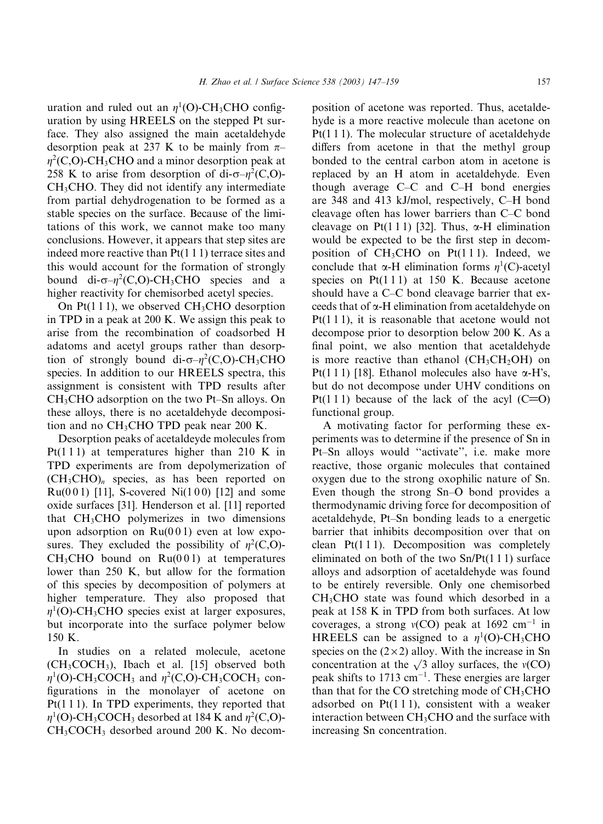uration and ruled out an  $\eta^1$ (O)-CH<sub>3</sub>CHO configuration by using HREELS on the stepped Pt surface. They also assigned the main acetaldehyde desorption peak at 237 K to be mainly from  $\pi$ –  $\eta^2(C, O)$ -CH<sub>3</sub>CHO and a minor desorption peak at 258 K to arise from desorption of di- $\sigma-\eta^2(C,0)$ -CH3CHO. They did not identify any intermediate from partial dehydrogenation to be formed as a stable species on the surface. Because of the limitations of this work, we cannot make too many conclusions. However, it appears that step sites are indeed more reactive than  $Pt(1\ 1\ 1)$  terrace sites and this would account for the formation of strongly bound di- $\sigma-\eta^2(C,0)$ -CH<sub>3</sub>CHO species and a higher reactivity for chemisorbed acetyl species.

On  $Pt(1\ 1\ 1)$ , we observed CH<sub>3</sub>CHO desorption in TPD in a peak at 200 K. We assign this peak to arise from the recombination of coadsorbed H adatoms and acetyl groups rather than desorption of strongly bound di- $\sigma-\eta^2(C,0)$ -CH<sub>3</sub>CHO species. In addition to our HREELS spectra, this assignment is consistent with TPD results after CH3CHO adsorption on the two Pt–Sn alloys. On these alloys, there is no acetaldehyde decomposition and no  $CH<sub>3</sub>CHO$  TPD peak near 200 K.

Desorption peaks of acetaldeyde molecules from Pt(111) at temperatures higher than 210 K in TPD experiments are from depolymerization of  $(CH_3CHO)_n$  species, as has been reported on  $Ru(0 0 1)$  [11], S-covered Ni $(1 0 0)$  [12] and some oxide surfaces [31]. Henderson et al. [11] reported that  $CH<sub>3</sub>CHO$  polymerizes in two dimensions upon adsorption on  $Ru(001)$  even at low exposures. They excluded the possibility of  $\eta^2(C, O)$ - $CH<sub>3</sub>CHO$  bound on  $Ru(001)$  at temperatures lower than 250 K, but allow for the formation of this species by decomposition of polymers at higher temperature. They also proposed that  $\eta^1$ (O)-CH<sub>3</sub>CHO species exist at larger exposures, but incorporate into the surface polymer below 150 K.

In studies on a related molecule, acetone  $(CH_3COCH_3)$ , Ibach et al. [15] observed both  $\eta^1$ (O)-CH<sub>3</sub>COCH<sub>3</sub> and  $\eta^2$ (C,O)-CH<sub>3</sub>COCH<sub>3</sub> configurations in the monolayer of acetone on Pt(1 1 1). In TPD experiments, they reported that  $\eta^1$ (O)-CH<sub>3</sub>COCH<sub>3</sub> desorbed at 184 K and  $\eta^2$ (C,O)-CH<sub>3</sub>COCH<sub>3</sub> desorbed around 200 K. No decomposition of acetone was reported. Thus, acetaldehyde is a more reactive molecule than acetone on Pt(111). The molecular structure of acetaldehyde differs from acetone in that the methyl group bonded to the central carbon atom in acetone is replaced by an H atom in acetaldehyde. Even though average C–C and C–H bond energies are 348 and 413 kJ/mol, respectively, C–H bond cleavage often has lower barriers than C–C bond cleavage on Pt(111) [32]. Thus,  $\alpha$ -H elimination would be expected to be the first step in decomposition of  $CH<sub>3</sub>CHO$  on  $Pt(111)$ . Indeed, we conclude that  $\alpha$ -H elimination forms  $\eta^1(C)$ -acetyl species on  $Pt(1\ 1\ 1)$  at 150 K. Because acetone should have a C–C bond cleavage barrier that exceeds that of  $\alpha$ -H elimination from acetaldehyde on Pt(1 1 1), it is reasonable that acetone would not decompose prior to desorption below 200 K. As a final point, we also mention that acetaldehyde is more reactive than ethanol  $(CH_3CH_2OH)$  on Pt(1 1 1) [18]. Ethanol molecules also have  $\alpha$ -H's, but do not decompose under UHV conditions on Pt(111) because of the lack of the acyl  $(C=0)$ functional group.

A motivating factor for performing these experiments was to determine if the presence of Sn in Pt–Sn alloys would ''activate'', i.e. make more reactive, those organic molecules that contained oxygen due to the strong oxophilic nature of Sn. Even though the strong Sn–O bond provides a thermodynamic driving force for decomposition of acetaldehyde, Pt–Sn bonding leads to a energetic barrier that inhibits decomposition over that on clean  $Pt(1\ 1\ 1)$ . Decomposition was completely eliminated on both of the two  $Sn/Pt(1 1 1)$  surface alloys and adsorption of acetaldehyde was found to be entirely reversible. Only one chemisorbed CH3CHO state was found which desorbed in a peak at 158 K in TPD from both surfaces. At low coverages, a strong  $v(CO)$  peak at 1692 cm<sup>-1</sup> in HREELS can be assigned to a  $\eta^1$ (O)-CH<sub>3</sub>CHO species on the  $(2 \times 2)$  alloy. With the increase in Sn concentration at the  $\sqrt{3}$  alloy surfaces, the  $v(CO)$ peak shifts to 1713 cm<sup>-1</sup>. These energies are larger than that for the CO stretching mode of  $CH<sub>3</sub>CHO$ adsorbed on Pt(1 1 1), consistent with a weaker interaction between CH<sub>3</sub>CHO and the surface with increasing Sn concentration.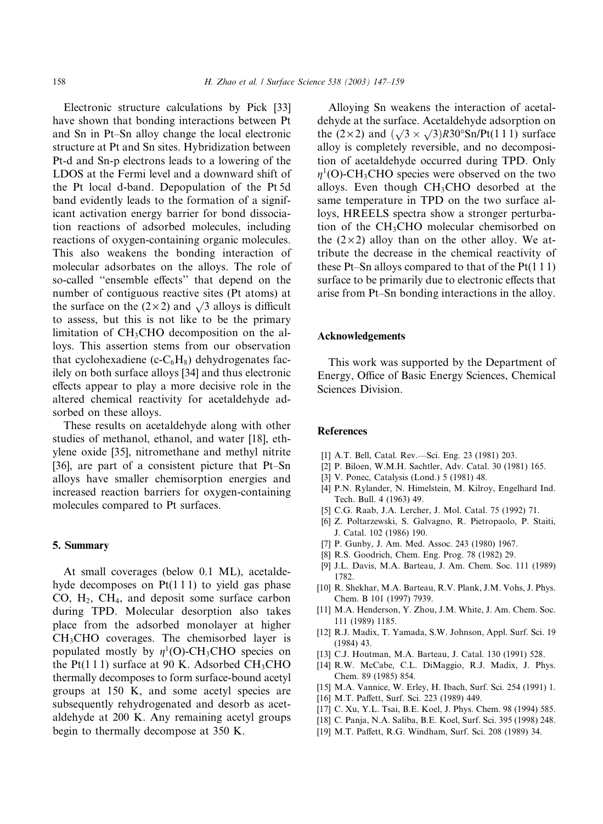Electronic structure calculations by Pick [33] have shown that bonding interactions between Pt and Sn in Pt–Sn alloy change the local electronic structure at Pt and Sn sites. Hybridization between Pt-d and Sn-p electrons leads to a lowering of the LDOS at the Fermi level and a downward shift of the Pt local d-band. Depopulation of the Pt 5d band evidently leads to the formation of a significant activation energy barrier for bond dissociation reactions of adsorbed molecules, including reactions of oxygen-containing organic molecules. This also weakens the bonding interaction of molecular adsorbates on the alloys. The role of so-called ''ensemble effects'' that depend on the number of contiguous reactive sites (Pt atoms) at the surface on the  $(2 \times 2)$  and  $\sqrt{3}$  alloys is difficult to assess, but this is not like to be the primary limitation of  $CH<sub>3</sub>CHO$  decomposition on the alloys. This assertion stems from our observation that cyclohexadiene (c- $C_6H_8$ ) dehydrogenates facilely on both surface alloys [34] and thus electronic effects appear to play a more decisive role in the altered chemical reactivity for acetaldehyde adsorbed on these alloys.

These results on acetaldehyde along with other studies of methanol, ethanol, and water [18], ethylene oxide [35], nitromethane and methyl nitrite [36], are part of a consistent picture that Pt–Sn alloys have smaller chemisorption energies and increased reaction barriers for oxygen-containing molecules compared to Pt surfaces.

### 5. Summary

At small coverages (below 0.1 ML), acetaldehyde decomposes on  $Pt(1\ 1\ 1)$  to yield gas phase CO,  $H_2$ , CH<sub>4</sub>, and deposit some surface carbon during TPD. Molecular desorption also takes place from the adsorbed monolayer at higher CH3CHO coverages. The chemisorbed layer is populated mostly by  $\eta^1$ (O)-CH<sub>3</sub>CHO species on the Pt(111) surface at 90 K. Adsorbed CH<sub>3</sub>CHO thermally decomposes to form surface-bound acetyl groups at 150 K, and some acetyl species are subsequently rehydrogenated and desorb as acetaldehyde at 200 K. Any remaining acetyl groups begin to thermally decompose at 350 K.

Alloying Sn weakens the interaction of acetaldehyde at the surface. Acetaldehyde adsorption on the  $(2 \times 2)$  and  $(\sqrt{3} \times \sqrt{3})$ R30°Sn/Pt(111) surface alloy is completely reversible, and no decomposition of acetaldehyde occurred during TPD. Only  $\eta^1$ (O)-CH<sub>3</sub>CHO species were observed on the two alloys. Even though CH3CHO desorbed at the same temperature in TPD on the two surface alloys, HREELS spectra show a stronger perturbation of the CH3CHO molecular chemisorbed on the  $(2 \times 2)$  alloy than on the other alloy. We attribute the decrease in the chemical reactivity of these Pt–Sn alloys compared to that of the  $Pt(111)$ surface to be primarily due to electronic effects that arise from Pt–Sn bonding interactions in the alloy.

## Acknowledgements

This work was supported by the Department of Energy, Office of Basic Energy Sciences, Chemical Sciences Division.

## References

- [1] A.T. Bell, Catal. Rev.––Sci. Eng. 23 (1981) 203.
- [2] P. Biloen, W.M.H. Sachtler, Adv. Catal. 30 (1981) 165.
- [3] V. Ponec, Catalysis (Lond.) 5 (1981) 48.
- [4] P.N. Rylander, N. Himelstein, M. Kilroy, Engelhard Ind. Tech. Bull. 4 (1963) 49.
- [5] C.G. Raab, J.A. Lercher, J. Mol. Catal. 75 (1992) 71.
- [6] Z. Poltarzewski, S. Galvagno, R. Pietropaolo, P. Staiti, J. Catal. 102 (1986) 190.
- [7] P. Gunby, J. Am. Med. Assoc. 243 (1980) 1967.
- [8] R.S. Goodrich, Chem. Eng. Prog. 78 (1982) 29.
- [9] J.L. Davis, M.A. Barteau, J. Am. Chem. Soc. 111 (1989) 1782.
- [10] R. Shekhar, M.A. Barteau, R.V. Plank, J.M. Vohs, J. Phys. Chem. B 101 (1997) 7939.
- [11] M.A. Henderson, Y. Zhou, J.M. White, J. Am. Chem. Soc. 111 (1989) 1185.
- [12] R.J. Madix, T. Yamada, S.W. Johnson, Appl. Surf. Sci. 19 (1984) 43.
- [13] C.J. Houtman, M.A. Barteau, J. Catal. 130 (1991) 528.
- [14] R.W. McCabe, C.L. DiMaggio, R.J. Madix, J. Phys. Chem. 89 (1985) 854.
- [15] M.A. Vannice, W. Erley, H. Ibach, Surf. Sci. 254 (1991) 1.
- [16] M.T. Paffett, Surf. Sci. 223 (1989) 449.
- [17] C. Xu, Y.L. Tsai, B.E. Koel, J. Phys. Chem. 98 (1994) 585.
- [18] C. Panja, N.A. Saliba, B.E. Koel, Surf. Sci. 395 (1998) 248.
- [19] M.T. Paffett, R.G. Windham, Surf. Sci. 208 (1989) 34.